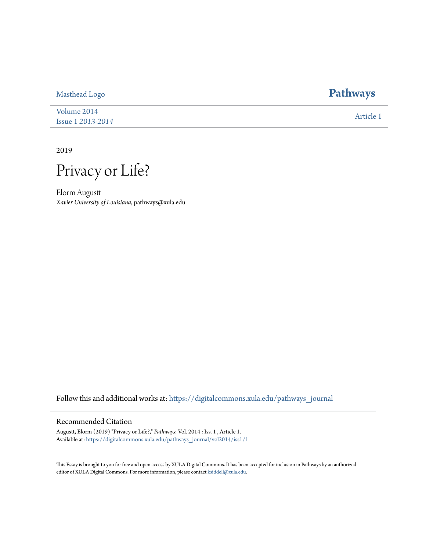[Volume 2014](https://digitalcommons.xula.edu/pathways_journal/vol2014?utm_source=digitalcommons.xula.edu%2Fpathways_journal%2Fvol2014%2Fiss1%2F1&utm_medium=PDF&utm_campaign=PDFCoverPages) Issue 1 *[2013-2014](https://digitalcommons.xula.edu/pathways_journal/vol2014/iss1?utm_source=digitalcommons.xula.edu%2Fpathways_journal%2Fvol2014%2Fiss1%2F1&utm_medium=PDF&utm_campaign=PDFCoverPages)* [Article 1](https://digitalcommons.xula.edu/pathways_journal/vol2014/iss1/1?utm_source=digitalcommons.xula.edu%2Fpathways_journal%2Fvol2014%2Fiss1%2F1&utm_medium=PDF&utm_campaign=PDFCoverPages)

2019

Privacy or Life?

Elorm Augustt *Xavier University of Louisiana*, pathways@xula.edu

Follow this and additional works at: [https://digitalcommons.xula.edu/pathways\\_journal](https://digitalcommons.xula.edu/pathways_journal?utm_source=digitalcommons.xula.edu%2Fpathways_journal%2Fvol2014%2Fiss1%2F1&utm_medium=PDF&utm_campaign=PDFCoverPages)

## Recommended Citation

Augustt, Elorm (2019) "Privacy or Life?," *Pathways*: Vol. 2014 : Iss. 1 , Article 1. Available at: [https://digitalcommons.xula.edu/pathways\\_journal/vol2014/iss1/1](https://digitalcommons.xula.edu/pathways_journal/vol2014/iss1/1?utm_source=digitalcommons.xula.edu%2Fpathways_journal%2Fvol2014%2Fiss1%2F1&utm_medium=PDF&utm_campaign=PDFCoverPages)

This Essay is brought to you for free and open access by XULA Digital Commons. It has been accepted for inclusion in Pathways by an authorized editor of XULA Digital Commons. For more information, please contact [ksiddell@xula.edu.](mailto:ksiddell@xula.edu)

## [Masthead Logo](http://www.xula.edu/?utm_source=digitalcommons.xula.edu%2Fpathways_journal%2Fvol2014%2Fiss1%2F1&utm_medium=PDF&utm_campaign=PDFCoverPages) **[Pathways](https://digitalcommons.xula.edu/pathways_journal?utm_source=digitalcommons.xula.edu%2Fpathways_journal%2Fvol2014%2Fiss1%2F1&utm_medium=PDF&utm_campaign=PDFCoverPages)**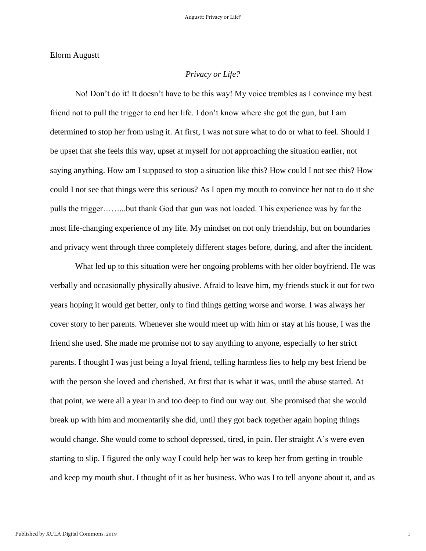Elorm Augustt

## *Privacy or Life?*

No! Don't do it! It doesn't have to be this way! My voice trembles as I convince my best friend not to pull the trigger to end her life. I don't know where she got the gun, but I am determined to stop her from using it. At first, I was not sure what to do or what to feel. Should I be upset that she feels this way, upset at myself for not approaching the situation earlier, not saying anything. How am I supposed to stop a situation like this? How could I not see this? How could I not see that things were this serious? As I open my mouth to convince her not to do it she pulls the trigger……...but thank God that gun was not loaded. This experience was by far the most life-changing experience of my life. My mindset on not only friendship, but on boundaries and privacy went through three completely different stages before, during, and after the incident.

What led up to this situation were her ongoing problems with her older boyfriend. He was verbally and occasionally physically abusive. Afraid to leave him, my friends stuck it out for two years hoping it would get better, only to find things getting worse and worse. I was always her cover story to her parents. Whenever she would meet up with him or stay at his house, I was the friend she used. She made me promise not to say anything to anyone, especially to her strict parents. I thought I was just being a loyal friend, telling harmless lies to help my best friend be with the person she loved and cherished. At first that is what it was, until the abuse started. At that point, we were all a year in and too deep to find our way out. She promised that she would break up with him and momentarily she did, until they got back together again hoping things would change. She would come to school depressed, tired, in pain. Her straight A's were even starting to slip. I figured the only way I could help her was to keep her from getting in trouble and keep my mouth shut. I thought of it as her business. Who was I to tell anyone about it, and as

1